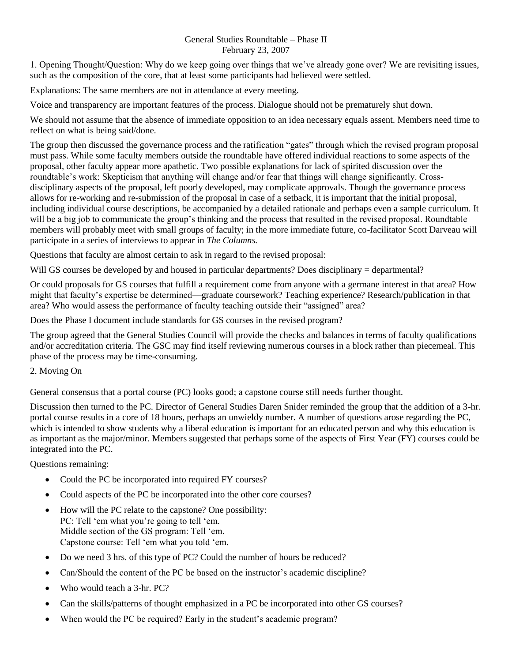## General Studies Roundtable – Phase II February 23, 2007

1. Opening Thought/Question: Why do we keep going over things that we've already gone over? We are revisiting issues, such as the composition of the core, that at least some participants had believed were settled.

Explanations: The same members are not in attendance at every meeting.

Voice and transparency are important features of the process. Dialogue should not be prematurely shut down.

We should not assume that the absence of immediate opposition to an idea necessary equals assent. Members need time to reflect on what is being said/done.

The group then discussed the governance process and the ratification "gates" through which the revised program proposal must pass. While some faculty members outside the roundtable have offered individual reactions to some aspects of the proposal, other faculty appear more apathetic. Two possible explanations for lack of spirited discussion over the roundtable's work: Skepticism that anything will change and/or fear that things will change significantly. Crossdisciplinary aspects of the proposal, left poorly developed, may complicate approvals. Though the governance process allows for re-working and re-submission of the proposal in case of a setback, it is important that the initial proposal, including individual course descriptions, be accompanied by a detailed rationale and perhaps even a sample curriculum. It will be a big job to communicate the group's thinking and the process that resulted in the revised proposal. Roundtable members will probably meet with small groups of faculty; in the more immediate future, co-facilitator Scott Darveau will participate in a series of interviews to appear in *The Columns.*

Questions that faculty are almost certain to ask in regard to the revised proposal:

Will GS courses be developed by and housed in particular departments? Does disciplinary = departmental?

Or could proposals for GS courses that fulfill a requirement come from anyone with a germane interest in that area? How might that faculty's expertise be determined—graduate coursework? Teaching experience? Research/publication in that area? Who would assess the performance of faculty teaching outside their "assigned" area?

Does the Phase I document include standards for GS courses in the revised program?

The group agreed that the General Studies Council will provide the checks and balances in terms of faculty qualifications and/or accreditation criteria. The GSC may find itself reviewing numerous courses in a block rather than piecemeal. This phase of the process may be time-consuming.

## 2. Moving On

General consensus that a portal course (PC) looks good; a capstone course still needs further thought.

Discussion then turned to the PC. Director of General Studies Daren Snider reminded the group that the addition of a 3-hr. portal course results in a core of 18 hours, perhaps an unwieldy number. A number of questions arose regarding the PC, which is intended to show students why a liberal education is important for an educated person and why this education is as important as the major/minor. Members suggested that perhaps some of the aspects of First Year (FY) courses could be integrated into the PC.

Questions remaining:

- Could the PC be incorporated into required FY courses?
- Could aspects of the PC be incorporated into the other core courses?
- How will the PC relate to the capstone? One possibility: PC: Tell 'em what you're going to tell 'em. Middle section of the GS program: Tell 'em. Capstone course: Tell 'em what you told 'em.
- Do we need 3 hrs. of this type of PC? Could the number of hours be reduced?
- Can/Should the content of the PC be based on the instructor's academic discipline?
- Who would teach a 3-hr. PC?
- Can the skills/patterns of thought emphasized in a PC be incorporated into other GS courses?
- When would the PC be required? Early in the student's academic program?